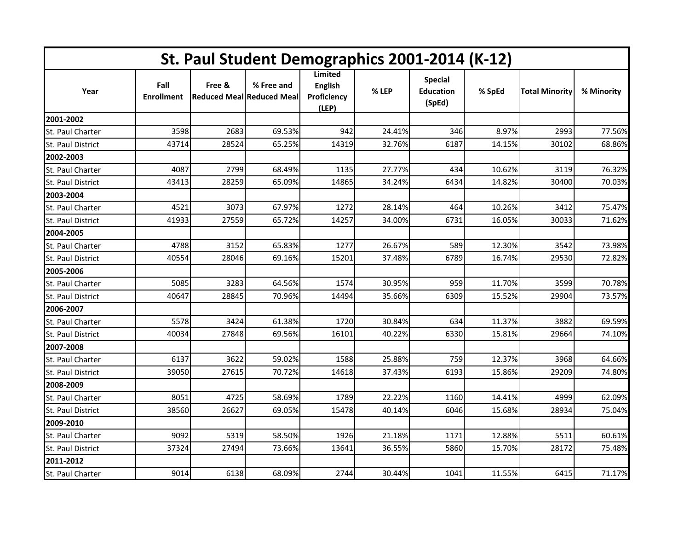| St. Paul Student Demographics 2001-2014 (K-12) |                           |        |                                                 |                                                          |        |                                              |        |                       |            |  |
|------------------------------------------------|---------------------------|--------|-------------------------------------------------|----------------------------------------------------------|--------|----------------------------------------------|--------|-----------------------|------------|--|
| Year                                           | Fall<br><b>Enrollment</b> | Free & | % Free and<br><b>Reduced MeallReduced Meall</b> | <b>Limited</b><br><b>English</b><br>Proficiency<br>(LEP) | % LEP  | <b>Special</b><br><b>Education</b><br>(SpEd) | % SpEd | <b>Total Minority</b> | % Minority |  |
| 2001-2002                                      |                           |        |                                                 |                                                          |        |                                              |        |                       |            |  |
| St. Paul Charter                               | 3598                      | 2683   | 69.53%                                          | 942                                                      | 24.41% | 346                                          | 8.97%  | 2993                  | 77.56%     |  |
| St. Paul District                              | 43714                     | 28524  | 65.25%                                          | 14319                                                    | 32.76% | 6187                                         | 14.15% | 30102                 | 68.86%     |  |
| 2002-2003                                      |                           |        |                                                 |                                                          |        |                                              |        |                       |            |  |
| St. Paul Charter                               | 4087                      | 2799   | 68.49%                                          | 1135                                                     | 27.77% | 434                                          | 10.62% | 3119                  | 76.32%     |  |
| St. Paul District                              | 43413                     | 28259  | 65.09%                                          | 14865                                                    | 34.24% | 6434                                         | 14.82% | 30400                 | 70.03%     |  |
| 2003-2004                                      |                           |        |                                                 |                                                          |        |                                              |        |                       |            |  |
| St. Paul Charter                               | 4521                      | 3073   | 67.97%                                          | 1272                                                     | 28.14% | 464                                          | 10.26% | 3412                  | 75.47%     |  |
| St. Paul District                              | 41933                     | 27559  | 65.72%                                          | 14257                                                    | 34.00% | 6731                                         | 16.05% | 30033                 | 71.62%     |  |
| 2004-2005                                      |                           |        |                                                 |                                                          |        |                                              |        |                       |            |  |
| St. Paul Charter                               | 4788                      | 3152   | 65.83%                                          | 1277                                                     | 26.67% | 589                                          | 12.30% | 3542                  | 73.98%     |  |
| St. Paul District                              | 40554                     | 28046  | 69.16%                                          | 15201                                                    | 37.48% | 6789                                         | 16.74% | 29530                 | 72.82%     |  |
| 2005-2006                                      |                           |        |                                                 |                                                          |        |                                              |        |                       |            |  |
| St. Paul Charter                               | 5085                      | 3283   | 64.56%                                          | 1574                                                     | 30.95% | 959                                          | 11.70% | 3599                  | 70.78%     |  |
| St. Paul District                              | 40647                     | 28845  | 70.96%                                          | 14494                                                    | 35.66% | 6309                                         | 15.52% | 29904                 | 73.57%     |  |
| 2006-2007                                      |                           |        |                                                 |                                                          |        |                                              |        |                       |            |  |
| St. Paul Charter                               | 5578                      | 3424   | 61.38%                                          | 1720                                                     | 30.84% | 634                                          | 11.37% | 3882                  | 69.59%     |  |
| St. Paul District                              | 40034                     | 27848  | 69.56%                                          | 16101                                                    | 40.22% | 6330                                         | 15.81% | 29664                 | 74.10%     |  |
| 2007-2008                                      |                           |        |                                                 |                                                          |        |                                              |        |                       |            |  |
| St. Paul Charter                               | 6137                      | 3622   | 59.02%                                          | 1588                                                     | 25.88% | 759                                          | 12.37% | 3968                  | 64.66%     |  |
| <b>St. Paul District</b>                       | 39050                     | 27615  | 70.72%                                          | 14618                                                    | 37.43% | 6193                                         | 15.86% | 29209                 | 74.80%     |  |
| 2008-2009                                      |                           |        |                                                 |                                                          |        |                                              |        |                       |            |  |
| St. Paul Charter                               | 8051                      | 4725   | 58.69%                                          | 1789                                                     | 22.22% | 1160                                         | 14.41% | 4999                  | 62.09%     |  |
| St. Paul District                              | 38560                     | 26627  | 69.05%                                          | 15478                                                    | 40.14% | 6046                                         | 15.68% | 28934                 | 75.04%     |  |
| 2009-2010                                      |                           |        |                                                 |                                                          |        |                                              |        |                       |            |  |
| St. Paul Charter                               | 9092                      | 5319   | 58.50%                                          | 1926                                                     | 21.18% | 1171                                         | 12.88% | 5511                  | 60.61%     |  |
| St. Paul District                              | 37324                     | 27494  | 73.66%                                          | 13641                                                    | 36.55% | 5860                                         | 15.70% | 28172                 | 75.48%     |  |
| 2011-2012                                      |                           |        |                                                 |                                                          |        |                                              |        |                       |            |  |
| St. Paul Charter                               | 9014                      | 6138   | 68.09%                                          | 2744                                                     | 30.44% | 1041                                         | 11.55% | 6415                  | 71.17%     |  |